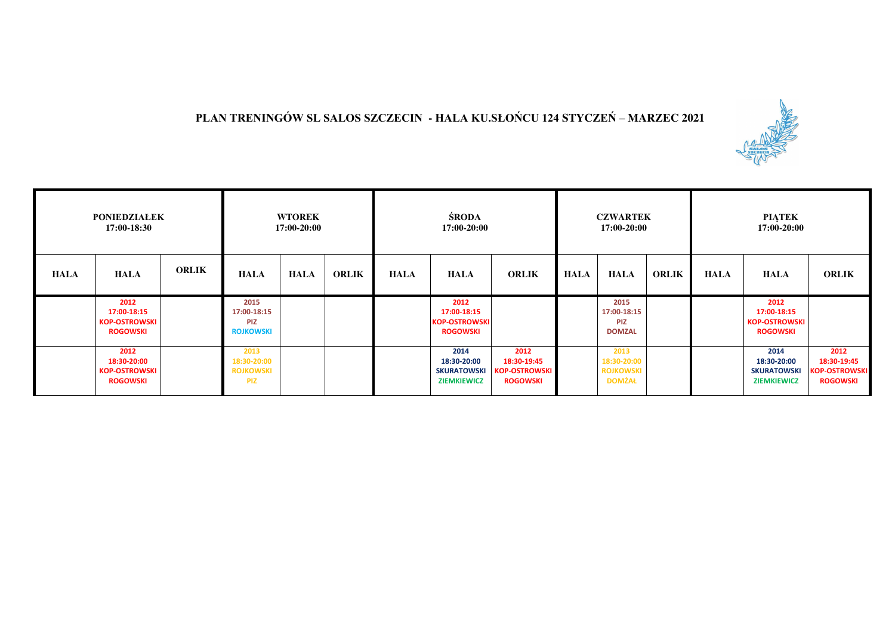## **PLAN TRENINGÓW SL SALOS SZCZECIN - HALA KU.SŁOŃCU 124 STYCZEŃ – MARZEC 2021**



| <b>PONIEDZIAŁEK</b><br>17:00-18:30 |                                                                |              | <b>WTOREK</b><br>17:00-20:00                          |             |              | ŚRODA<br>17:00-20:00 |                                                                 |                                                                | <b>CZWARTEK</b><br>17:00-20:00 |                                                          |              | <b>PIATEK</b><br>17:00-20:00 |                                                                 |                                                                |
|------------------------------------|----------------------------------------------------------------|--------------|-------------------------------------------------------|-------------|--------------|----------------------|-----------------------------------------------------------------|----------------------------------------------------------------|--------------------------------|----------------------------------------------------------|--------------|------------------------------|-----------------------------------------------------------------|----------------------------------------------------------------|
| <b>HALA</b>                        | <b>HALA</b>                                                    | <b>ORLIK</b> | <b>HALA</b>                                           | <b>HALA</b> | <b>ORLIK</b> | <b>HALA</b>          | <b>HALA</b>                                                     | <b>ORLIK</b>                                                   | <b>HALA</b>                    | <b>HALA</b>                                              | <b>ORLIK</b> | <b>HALA</b>                  | <b>HALA</b>                                                     | <b>ORLIK</b>                                                   |
|                                    | 2012<br>17:00-18:15<br><b>KOP-OSTROWSKI</b><br><b>ROGOWSKI</b> |              | 2015<br>17:00-18:15<br><b>PIZ</b><br><b>ROJKOWSKI</b> |             |              |                      | 2012<br>17:00-18:15<br><b>KOP-OSTROWSKI</b><br><b>ROGOWSKI</b>  |                                                                |                                | 2015<br>17:00-18:15<br><b>PIZ</b><br><b>DOMZAL</b>       |              |                              | 2012<br>17:00-18:15<br><b>KOP-OSTROWSKI</b><br><b>ROGOWSKI</b>  |                                                                |
|                                    | 2012<br>18:30-20:00<br><b>KOP-OSTROWSKI</b><br><b>ROGOWSKI</b> |              | 2013<br>18:30-20:00<br><b>ROJKOWSKI</b><br><b>PIZ</b> |             |              |                      | 2014<br>18:30-20:00<br><b>SKURATOWSKI</b><br><b>ZIEMKIEWICZ</b> | 2012<br>18:30-19:45<br><b>KOP-OSTROWSKI</b><br><b>ROGOWSKI</b> |                                | 2013<br>18:30-20:00<br><b>ROJKOWSKI</b><br><b>DOMŻAŁ</b> |              |                              | 2014<br>18:30-20:00<br><b>SKURATOWSKI</b><br><b>ZIEMKIEWICZ</b> | 2012<br>18:30-19:45<br><b>KOP-OSTROWSKI</b><br><b>ROGOWSKI</b> |